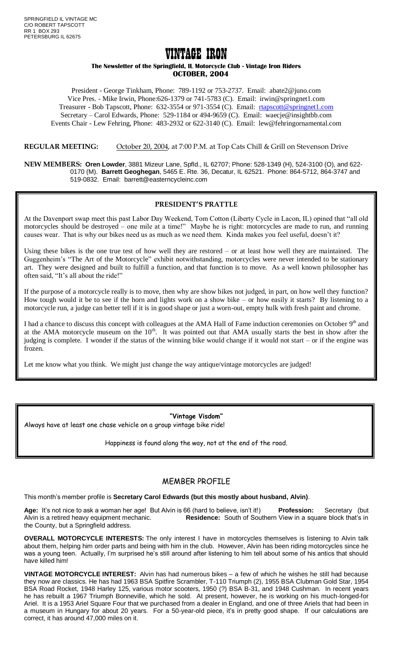# VINTAGE IRON

#### **The Newsletter of the Springfield, IL Motorcycle Club - Vintage Iron Riders OCTOBER, 2004**

President - George Tinkham, Phone: 789-1192 or 753-2737. Email: abate2@juno.com Vice Pres. - Mike Irwin, Phone:626-1379 or 741-5783 (C). Email: irwin@springnet1.com Treasurer - Bob Tapscott, Phone: 632-3554 or 971-3554 (C). Email: [rtapscott@springnet1.com](mailto:rtapscott@springnet1.com) Secretary – Carol Edwards, Phone: 529-1184 or 494-9659 (C). Email: waecje@insightbb.com Events Chair - Lew Fehring, Phone: 483-2932 or 622-3140 (C). Email: lew@fehringornamental.com

**REGULAR MEETING:** October 20, 2004, at 7:00 P.M. at Top Cats Chill & Grill on Stevenson Drive

**NEW MEMBERS: Oren Lowder**, 3881 Mizeur Lane, Spfld., IL 62707; Phone: 528-1349 (H), 524-3100 (O), and 622- 0170 (M). **Barrett Geoghegan**, 5465 E. Rte. 36, Decatur, IL 62521. Phone: 864-5712, 864-3747 and 519-0832. Email: barrett@easterncycleinc.com

#### **PRESIDENT'S PRATTLE**

At the Davenport swap meet this past Labor Day Weekend, Tom Cotton (Liberty Cycle in Lacon, IL) opined that "all old motorcycles should be destroyed – one mile at a time!" Maybe he is right: motorcycles are made to run, and running causes wear. That is why our bikes need us as much as we need them. Kinda makes you feel useful, doesn't it?

Using these bikes is the one true test of how well they are restored – or at least how well they are maintained. The Guggenheim's "The Art of the Motorcycle" exhibit notwithstanding, motorcycles were never intended to be stationary art. They were designed and built to fulfill a function, and that function is to move. As a well known philosopher has often said, "It's all about the ride!"

If the purpose of a motorcycle really is to move, then why are show bikes not judged, in part, on how well they function? How tough would it be to see if the horn and lights work on a show bike – or how easily it starts? By listening to a motorcycle run, a judge can better tell if it is in good shape or just a worn-out, empty hulk with fresh paint and chrome.

I had a chance to discuss this concept with colleagues at the AMA Hall of Fame induction ceremonies on October 9<sup>th</sup> and at the AMA motorcycle museum on the  $10<sup>th</sup>$ . It was pointed out that AMA usually starts the best in show after the judging is complete. I wonder if the status of the winning bike would change if it would not start – or if the engine was frozen.

Let me know what you think. We might just change the way antique/vintage motorcycles are judged!

# **"Vintage Visdom"**

Always have at least one chase vehicle on a group vintage bike ride!

Happiness is found along the way, not at the end of the road.

# MEMBER PROFILE

This month's member profile is **Secretary Carol Edwards (but this mostly about husband, Alvin)**.

**Age:** It's not nice to ask a woman her age! But Alvin is 66 (hard to believe, isn't it!) **Profession:** Secretary (but Alvin is a retired heavy equipment mechanic. **Residence:** South of Southern View in a square block that's in the County, but a Springfield address.

**OVERALL MOTORCYCLE INTERESTS:** The only interest I have in motorcycles themselves is listening to Alvin talk about them, helping him order parts and being with him in the club. However, Alvin has been riding motorcycles since he was a young teen. Actually, I'm surprised he's still around after listening to him tell about some of his antics that should have killed him!

**VINTAGE MOTORCYCLE INTEREST:** Alvin has had numerous bikes – a few of which he wishes he still had because they now are classics. He has had 1963 BSA Spitfire Scrambler, T-110 Triumph (2), 1955 BSA Clubman Gold Star, 1954 BSA Road Rocket, 1948 Harley 125, various motor scooters, 1950 (?) BSA B-31, and 1948 Cushman. In recent years he has rebuilt a 1967 Triumph Bonneville, which he sold. At present, however, he is working on his much-longed-for Ariel. It is a 1953 Ariel Square Four that we purchased from a dealer in England, and one of three Ariels that had been in a museum in Hungary for about 20 years. For a 50-year-old piece, it's in pretty good shape. If our calculations are correct, it has around 47,000 miles on it.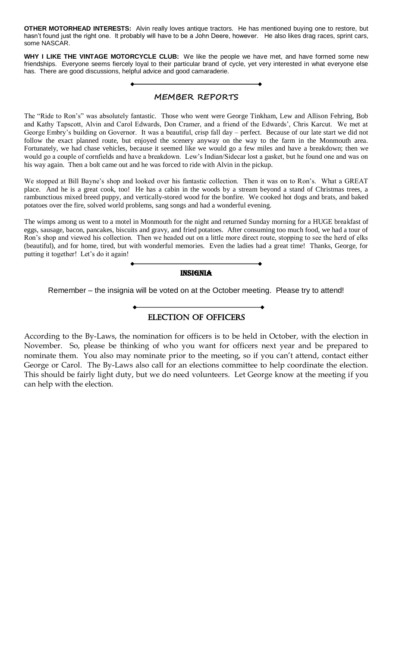**OTHER MOTORHEAD INTERESTS:** Alvin really loves antique tractors. He has mentioned buying one to restore, but hasn't found just the right one. It probably will have to be a John Deere, however. He also likes drag races, sprint cars, some NASCAR.

**WHY I LIKE THE VINTAGE MOTORCYCLE CLUB:** We like the people we have met, and have formed some new friendships. Everyone seems fiercely loyal to their particular brand of cycle, yet very interested in what everyone else has. There are good discussions, helpful advice and good camaraderie.

# **MEMBER REPORTS**

The "Ride to Ron's" was absolutely fantastic. Those who went were George Tinkham, Lew and Allison Fehring, Bob and Kathy Tapscott, Alvin and Carol Edwards, Don Cramer, and a friend of the Edwards', Chris Karcut. We met at George Embry's building on Governor. It was a beautiful, crisp fall day – perfect. Because of our late start we did not follow the exact planned route, but enjoyed the scenery anyway on the way to the farm in the Monmouth area. Fortunately, we had chase vehicles, because it seemed like we would go a few miles and have a breakdown; then we would go a couple of cornfields and have a breakdown. Lew's Indian/Sidecar lost a gasket, but he found one and was on his way again. Then a bolt came out and he was forced to ride with Alvin in the pickup.

We stopped at Bill Bayne's shop and looked over his fantastic collection. Then it was on to Ron's. What a GREAT place. And he is a great cook, too! He has a cabin in the woods by a stream beyond a stand of Christmas trees, a rambunctious mixed breed puppy, and vertically-stored wood for the bonfire. We cooked hot dogs and brats, and baked potatoes over the fire, solved world problems, sang songs and had a wonderful evening.

The wimps among us went to a motel in Monmouth for the night and returned Sunday morning for a HUGE breakfast of eggs, sausage, bacon, pancakes, biscuits and gravy, and fried potatoes. After consuming too much food, we had a tour of Ron's shop and viewed his collection. Then we headed out on a little more direct route, stopping to see the herd of elks (beautiful), and for home, tired, but with wonderful memories. Even the ladies had a great time! Thanks, George, for putting it together! Let's do it again!

#### **INSIGNIA**

Remember – the insignia will be voted on at the October meeting. Please try to attend!

# ELECTION OF OFFICERS

According to the By-Laws, the nomination for officers is to be held in October, with the election in November. So, please be thinking of who you want for officers next year and be prepared to nominate them. You also may nominate prior to the meeting, so if you can't attend, contact either George or Carol. The By-Laws also call for an elections committee to help coordinate the election. This should be fairly light duty, but we do need volunteers. Let George know at the meeting if you can help with the election.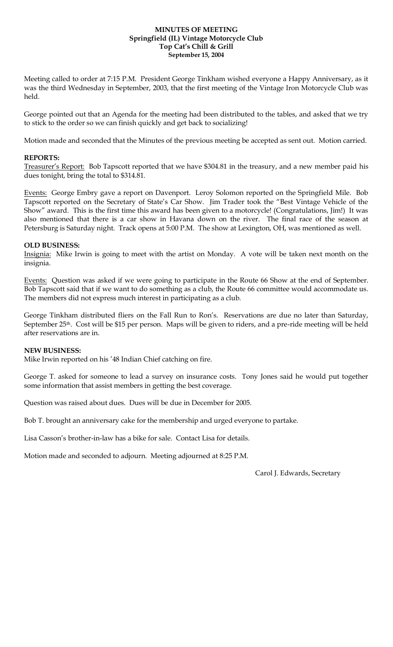#### **MINUTES OF MEETING Springfield (IL) Vintage Motorcycle Club Top Cat's Chill & Grill September 15, 2004**

Meeting called to order at 7:15 P.M. President George Tinkham wished everyone a Happy Anniversary, as it was the third Wednesday in September, 2003, that the first meeting of the Vintage Iron Motorcycle Club was held.

George pointed out that an Agenda for the meeting had been distributed to the tables, and asked that we try to stick to the order so we can finish quickly and get back to socializing!

Motion made and seconded that the Minutes of the previous meeting be accepted as sent out. Motion carried.

### **REPORTS:**

Treasurer's Report: Bob Tapscott reported that we have \$304.81 in the treasury, and a new member paid his dues tonight, bring the total to \$314.81.

Events: George Embry gave a report on Davenport. Leroy Solomon reported on the Springfield Mile. Bob Tapscott reported on the Secretary of State's Car Show. Jim Trader took the "Best Vintage Vehicle of the Show" award. This is the first time this award has been given to a motorcycle! (Congratulations, Jim!) It was also mentioned that there is a car show in Havana down on the river. The final race of the season at Petersburg is Saturday night. Track opens at 5:00 P.M. The show at Lexington, OH, was mentioned as well.

#### **OLD BUSINESS:**

Insignia: Mike Irwin is going to meet with the artist on Monday. A vote will be taken next month on the insignia.

Events: Question was asked if we were going to participate in the Route 66 Show at the end of September. Bob Tapscott said that if we want to do something as a club, the Route 66 committee would accommodate us. The members did not express much interest in participating as a club.

George Tinkham distributed fliers on the Fall Run to Ron's. Reservations are due no later than Saturday, September 25<sup>th</sup>. Cost will be \$15 per person. Maps will be given to riders, and a pre-ride meeting will be held after reservations are in.

### **NEW BUSINESS:**

Mike Irwin reported on his '48 Indian Chief catching on fire.

George T. asked for someone to lead a survey on insurance costs. Tony Jones said he would put together some information that assist members in getting the best coverage.

Question was raised about dues. Dues will be due in December for 2005.

Bob T. brought an anniversary cake for the membership and urged everyone to partake.

Lisa Casson's brother-in-law has a bike for sale. Contact Lisa for details.

Motion made and seconded to adjourn. Meeting adjourned at 8:25 P.M.

Carol J. Edwards, Secretary